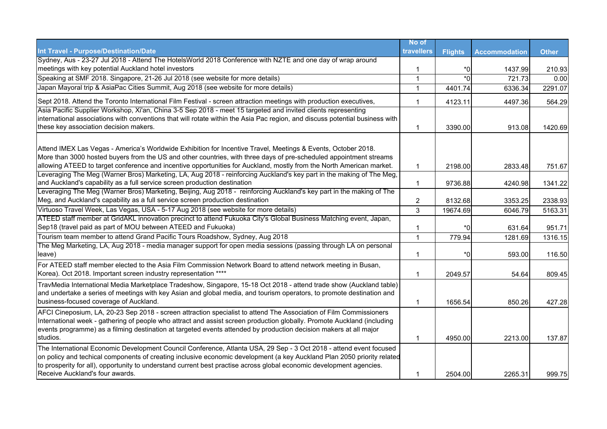|                                                                                                                                                                                                                                                                                                                                                                                                          | No of          |                |                      |              |
|----------------------------------------------------------------------------------------------------------------------------------------------------------------------------------------------------------------------------------------------------------------------------------------------------------------------------------------------------------------------------------------------------------|----------------|----------------|----------------------|--------------|
| Int Travel - Purpose/Destination/Date                                                                                                                                                                                                                                                                                                                                                                    | travellers     | <b>Flights</b> | <b>Accommodation</b> | <b>Other</b> |
| Sydney, Aus - 23-27 Jul 2018 - Attend The HotelsWorld 2018 Conference with NZTE and one day of wrap around                                                                                                                                                                                                                                                                                               |                |                |                      |              |
| meetings with key potential Auckland hotel investors                                                                                                                                                                                                                                                                                                                                                     | 1              | *0             | 1437.99              | 210.93       |
| Speaking at SMF 2018. Singapore, 21-26 Jul 2018 (see website for more details)                                                                                                                                                                                                                                                                                                                           | $\mathbf{1}$   | $*0$           | 721.73               | 0.00         |
| Japan Mayoral trip & AsiaPac Cities Summit, Aug 2018 (see website for more details)                                                                                                                                                                                                                                                                                                                      | $\mathbf 1$    | 4401.74        | 6336.34              | 2291.07      |
| Sept 2018. Attend the Toronto International Film Festival - screen attraction meetings with production executives,                                                                                                                                                                                                                                                                                       | 1              | 4123.11        | 4497.36              | 564.29       |
| Asia Pacific Supplier Workshop, Xi'an, China 3-5 Sep 2018 - meet 15 targeted and invited clients representing<br>international associations with conventions that will rotate within the Asia Pac region, and discuss potential business with<br>these key association decision makers.                                                                                                                  |                |                |                      |              |
|                                                                                                                                                                                                                                                                                                                                                                                                          | 1              | 3390.00        | 913.08               | 1420.69      |
| Attend IMEX Las Vegas - America's Worldwide Exhibition for Incentive Travel, Meetings & Events, October 2018.<br>More than 3000 hosted buyers from the US and other countries, with three days of pre-scheduled appointment streams<br>allowing ATEED to target conference and incentive opportunities for Auckland, mostly from the North American market.                                              | $\mathbf 1$    | 2198.00        | 2833.48              | 751.67       |
| Leveraging The Meg (Warner Bros) Marketing, LA, Aug 2018 - reinforcing Auckland's key part in the making of The Meg,<br>and Auckland's capability as a full service screen production destination                                                                                                                                                                                                        | 1              | 9736.88        | 4240.98              | 1341.22      |
| Leveraging The Meg (Warner Bros) Marketing, Beijing, Aug 2018 - reinforcing Auckland's key part in the making of The<br>Meg, and Auckland's capability as a full service screen production destination                                                                                                                                                                                                   | $\overline{c}$ | 8132.68        | 3353.25              | 2338.93      |
| Virtuoso Travel Week, Las Vegas, USA - 5-17 Aug 2018 (see website for more details)                                                                                                                                                                                                                                                                                                                      | 3              | 19674.69       | 6046.79              | 5163.31      |
| ATEED staff member at GridAKL innovation precinct to attend Fukuoka City's Global Business Matching event, Japan,                                                                                                                                                                                                                                                                                        |                |                |                      |              |
| Sep18 (travel paid as part of MOU between ATEED and Fukuoka)                                                                                                                                                                                                                                                                                                                                             | 1              | *0             | 631.64               | 951.71       |
| Tourism team member to attend Grand Pacific Tours Roadshow, Sydney, Aug 2018                                                                                                                                                                                                                                                                                                                             | $\mathbf{1}$   | 779.94         | 1281.69              | 1316.15      |
| The Meg Marketing, LA, Aug 2018 - media manager support for open media sessions (passing through LA on personal<br>leave)                                                                                                                                                                                                                                                                                | 1              | *0             | 593.00               | 116.50       |
| For ATEED staff member elected to the Asia Film Commission Network Board to attend network meeting in Busan,<br>Korea). Oct 2018. Important screen industry representation ****                                                                                                                                                                                                                          | 1              | 2049.57        | 54.64                | 809.45       |
| TravMedia International Media Marketplace Tradeshow, Singapore, 15-18 Oct 2018 - attend trade show (Auckland table)<br>and undertake a series of meetings with key Asian and global media, and tourism operators, to promote destination and<br>business-focused coverage of Auckland.                                                                                                                   | $\mathbf 1$    | 1656.54        | 850.26               | 427.28       |
| AFCI Cineposium, LA, 20-23 Sep 2018 - screen attraction specialist to attend The Association of Film Commissioners<br>International week - gathering of people who attract and assist screen production globally. Promote Auckland (including<br>events programme) as a filming destination at targeted events attended by production decision makers at all major<br>studios.                           | $\mathbf 1$    | 4950.00        | 2213.00              | 137.87       |
| The International Economic Development Council Conference, Atlanta USA, 29 Sep - 3 Oct 2018 - attend event focused<br>on policy and techical components of creating inclusive economic development (a key Auckland Plan 2050 priority related<br>to prosperity for all), opportunity to understand current best practise across global economic development agencies.<br>Receive Auckland's four awards. | $\mathbf 1$    | 2504.00        | 2265.31              | 999.75       |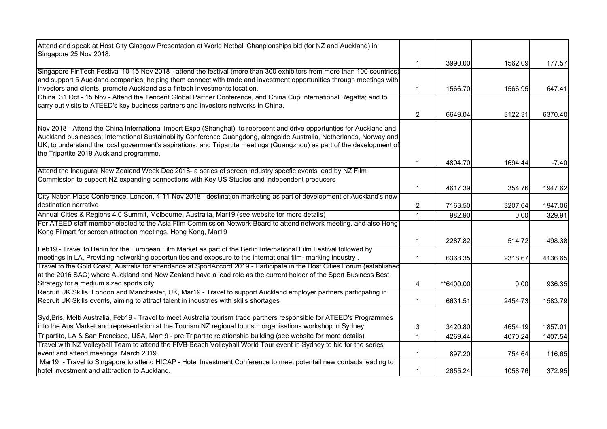| Attend and speak at Host City Glasgow Presentation at World Netball Chanpionships bid (for NZ and Auckland) in<br>Singapore 25 Nov 2018.                                                                                                                                                                                                                                                                             |                         |           |         |         |
|----------------------------------------------------------------------------------------------------------------------------------------------------------------------------------------------------------------------------------------------------------------------------------------------------------------------------------------------------------------------------------------------------------------------|-------------------------|-----------|---------|---------|
|                                                                                                                                                                                                                                                                                                                                                                                                                      | $\mathbf 1$             | 3990.00   | 1562.09 | 177.57  |
| Singapore FinTech Festival 10-15 Nov 2018 - attend the festival (more than 300 exhibitors from more than 100 countries)<br>and support 5 Auckland companies, helping them connect with trade and investment opportunities through meetings with                                                                                                                                                                      |                         |           |         |         |
| investors and clients, promote Auckland as a fintech investments location.                                                                                                                                                                                                                                                                                                                                           | $\mathbf 1$             | 1566.70   | 1566.95 | 647.41  |
| China 31 Oct - 15 Nov - Attend the Tencent Global Partner Conference, and China Cup International Regatta; and to<br>carry out visits to ATEED's key business partners and investors networks in China.                                                                                                                                                                                                              |                         |           |         |         |
|                                                                                                                                                                                                                                                                                                                                                                                                                      | $\overline{2}$          | 6649.04   | 3122.31 | 6370.40 |
| Nov 2018 - Attend the China International Import Expo (Shanghai), to represent and drive opportunties for Auckland and<br>Auckland businesses; International Sustainability Conference Guangdong, alongside Australia, Netherlands, Norway and<br>UK, to understand the local government's aspirations; and Tripartite meetings (Guangzhou) as part of the development of<br>the Tripartite 2019 Auckland programme. |                         |           |         |         |
|                                                                                                                                                                                                                                                                                                                                                                                                                      | 1                       | 4804.70   | 1694.44 | $-7.40$ |
| Attend the Inaugural New Zealand Week Dec 2018- a series of screen industry specfic events lead by NZ Film<br>Commission to support NZ expanding connections with Key US Studios and independent producers                                                                                                                                                                                                           |                         |           |         |         |
|                                                                                                                                                                                                                                                                                                                                                                                                                      | $\mathbf 1$             | 4617.39   | 354.76  | 1947.62 |
| City Nation Place Conference, London, 4-11 Nov 2018 - destination marketing as part of development of Auckland's new<br>destination narrative                                                                                                                                                                                                                                                                        | $\overline{\mathbf{c}}$ | 7163.50   | 3207.64 | 1947.06 |
| Annual Cities & Regions 4.0 Summit, Melbourne, Australia, Mar19 (see website for more details)                                                                                                                                                                                                                                                                                                                       | $\overline{1}$          | 982.90    | 0.00    | 329.91  |
| For ATEED staff member elected to the Asia Film Commission Network Board to attend network meeting, and also Hong<br>Kong Filmart for screen attraction meetings, Hong Kong, Mar19                                                                                                                                                                                                                                   |                         |           |         |         |
|                                                                                                                                                                                                                                                                                                                                                                                                                      | $\mathbf{1}$            | 2287.82   | 514.72  | 498.38  |
| Feb19 - Travel to Berlin for the European Film Market as part of the Berlin International Film Festival followed by                                                                                                                                                                                                                                                                                                  |                         |           |         |         |
| meetings in LA. Providing networking opportunities and exposure to the international film- marking industry.                                                                                                                                                                                                                                                                                                         | $\mathbf 1$             | 6368.35   | 2318.67 | 4136.65 |
| Travel to the Gold Coast, Australia for attendance at SportAccord 2019 - Participate in the Host Cities Forum (established<br>at the 2016 SAC) where Auckland and New Zealand have a lead role as the current holder of the Sport Business Best                                                                                                                                                                      |                         |           |         |         |
| Strategy for a medium sized sports city.<br>Recruit UK Skills. London and Manchester, UK, Mar19 - Travel to support Auckland employer partners particpating in                                                                                                                                                                                                                                                       | 4                       | **6400.00 | 0.00    | 936.35  |
| Recruit UK Skills events, aiming to attract talent in industries with skills shortages                                                                                                                                                                                                                                                                                                                               | 1                       | 6631.51   | 2454.73 | 1583.79 |
| Syd, Bris, Melb Australia, Feb19 - Travel to meet Australia tourism trade partners responsible for ATEED's Programmes<br>into the Aus Market and representation at the Tourism NZ regional tourism organisations workshop in Sydney                                                                                                                                                                                  | 3                       | 3420.80   | 4654.19 | 1857.01 |
| Tripartite, LA & San Francisco, USA, Mar19 - pre Tripartite relationship building (see website for more details)                                                                                                                                                                                                                                                                                                     | 1                       | 4269.44   | 4070.24 | 1407.54 |
| Travel with NZ Volleyball Team to attend the FIVB Beach Volleyball World Tour event in Sydney to bid for the series                                                                                                                                                                                                                                                                                                  |                         |           |         |         |
| event and attend meetings. March 2019.                                                                                                                                                                                                                                                                                                                                                                               | 1                       | 897.20    | 754.64  | 116.65  |
| Mar19 - Travel to Singapore to attend HICAP - Hotel Investment Conference to meet potentail new contacts leading to<br>hotel investment and atttraction to Auckland.                                                                                                                                                                                                                                                 | $\mathbf 1$             | 2655.24   | 1058.76 | 372.95  |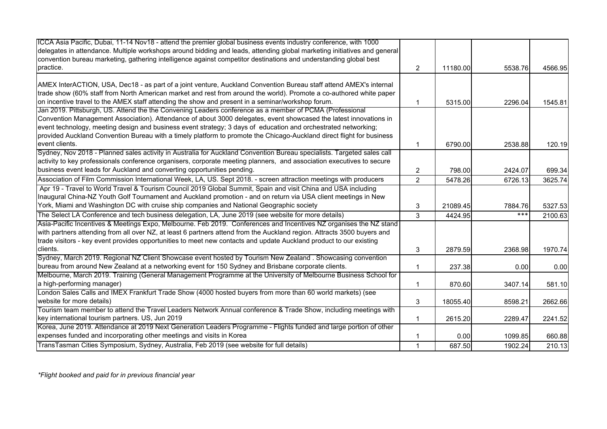| ICCA Asia Pacific, Dubai, 11-14 Nov18 - attend the premier global business events industry conference, with 1000               |                |          |         |         |
|--------------------------------------------------------------------------------------------------------------------------------|----------------|----------|---------|---------|
| delegates in attendance. Multiple workshops around bidding and leads, attending global marketing initiatives and general       |                |          |         |         |
| convention bureau marketing, gathering intelligence against competitor destinations and understanding global best<br>practice. |                |          |         |         |
|                                                                                                                                | $\overline{2}$ | 11180.00 | 5538.76 | 4566.95 |
| AMEX InterACTION, USA, Dec18 - as part of a joint venture, Auckland Convention Bureau staff attend AMEX's internal             |                |          |         |         |
| trade show (60% staff from North American market and rest from around the world). Promote a co-authored white paper            |                |          |         |         |
| on incentive travel to the AMEX staff attending the show and present in a seminar/workshop forum.                              |                | 5315.00  | 2296.04 | 1545.81 |
| Jan 2019. Pittsburgh, US. Attend the the Convening Leaders conference as a member of PCMA (Professional                        |                |          |         |         |
| Convention Management Association). Attendance of about 3000 delegates, event showcased the latest innovations in              |                |          |         |         |
| event technology, meeting design and business event strategy; 3 days of education and orchestrated networking;                 |                |          |         |         |
| provided Auckland Convention Bureau with a timely platform to promote the Chicago-Auckland direct flight for business          |                |          |         |         |
| event clients.                                                                                                                 |                | 6790.00  | 2538.88 | 120.19  |
| Sydney, Nov 2018 - Planned sales activity in Australia for Auckland Convention Bureau specialists. Targeted sales call         |                |          |         |         |
| activity to key professionals conference organisers, corporate meeting planners, and association executives to secure          |                |          |         |         |
| business event leads for Auckland and converting opportunities pending.                                                        | 2              | 798.00   | 2424.07 | 699.34  |
| Association of Film Commission International Week, LA, US. Sept 2018. - screen attraction meetings with producers              | $\overline{2}$ | 5478.26  | 6726.13 | 3625.74 |
| Apr 19 - Travel to World Travel & Tourism Council 2019 Global Summit, Spain and visit China and USA including                  |                |          |         |         |
| Inaugural China-NZ Youth Golf Tournament and Auckland promotion - and on return via USA client meetings in New                 |                |          |         |         |
| York, Miami and Washington DC with cruise ship companies and National Geographic society                                       | 3              | 21089.45 | 7884.76 | 5327.53 |
| The Select LA Conference and tech business delegation, LA, June 2019 (see website for more details)                            | 3              | 4424.95  | ***     | 2100.63 |
| Asia-Pacific Incentives & Meetings Expo, Melbourne. Feb 2019. Conferences and Incentives NZ organises the NZ stand             |                |          |         |         |
| with partners attending from all over NZ, at least 6 partners attend from the Auckland region. Attracts 3500 buyers and        |                |          |         |         |
| trade visitors - key event provides opportunities to meet new contacts and update Auckland product to our existing             |                |          |         |         |
| clients.                                                                                                                       | 3              | 2879.59  | 2368.98 | 1970.74 |
| Sydney, March 2019. Regional NZ Client Showcase event hosted by Tourism New Zealand. Showcasing convention                     |                |          |         |         |
| bureau from around New Zealand at a networking event for 150 Sydney and Brisbane corporate clients.                            | 1              | 237.38   | 0.00    | 0.00    |
| Melbourne, March 2019. Training (General Management Programme at the University of Melbourne Business School for               |                |          |         |         |
| a high-performing manager)                                                                                                     | 1              | 870.60   | 3407.14 | 581.10  |
| London Sales Calls and IMEX Frankfurt Trade Show (4000 hosted buyers from more than 60 world markets) (see                     |                |          |         |         |
| website for more details)                                                                                                      | 3              | 18055.40 | 8598.21 | 2662.66 |
| Tourism team member to attend the Travel Leaders Network Annual conference & Trade Show, including meetings with               |                |          |         |         |
| key international tourism partners. US, Jun 2019                                                                               | 1              | 2615.20  | 2289.47 | 2241.52 |
| Korea, June 2019. Attendance at 2019 Next Generation Leaders Programme - Flights funded and large portion of other             |                |          |         |         |
| expenses funded and incorporating other meetings and visits in Korea                                                           |                | 0.00     | 1099.85 | 660.88  |
| TransTasman Cities Symposium, Sydney, Australia, Feb 2019 (see website for full details)                                       | $\mathbf 1$    | 687.50   | 1902.24 | 210.13  |

*\*Flight booked and paid for in previous financial year*